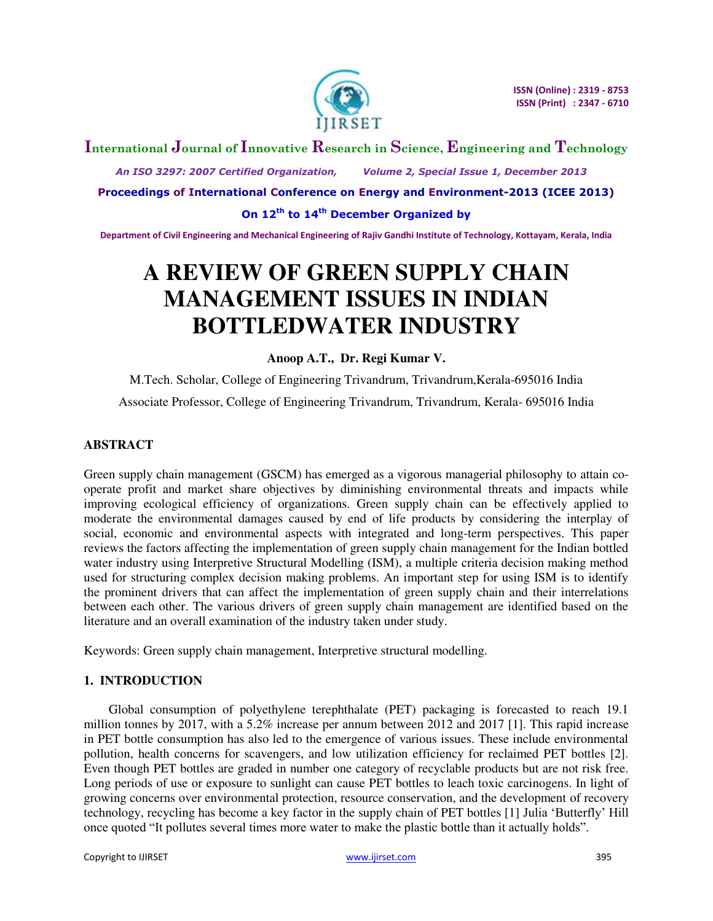

# **International Journal of Innovative Research in Science, Engineering and Technology**

 *An ISO 3297: 2007 Certified Organization, Volume 2, Special Issue 1, December 2013* 

**Proceedings of International Conference on Energy and Environment-2013 (ICEE 2013)** 

**On 12th to 14th December Organized by** 

**Department of Civil Engineering and Mechanical Engineering of Rajiv Gandhi Institute of Technology, Kottayam, Kerala, India** 

# **A REVIEW OF GREEN SUPPLY CHAIN MANAGEMENT ISSUES IN INDIAN BOTTLEDWATER INDUSTRY**

#### **Anoop A.T., Dr. Regi Kumar V.**

M.Tech. Scholar, College of Engineering Trivandrum, Trivandrum,Kerala-695016 India Associate Professor, College of Engineering Trivandrum, Trivandrum, Kerala- 695016 India

# **ABSTRACT**

Green supply chain management (GSCM) has emerged as a vigorous managerial philosophy to attain cooperate profit and market share objectives by diminishing environmental threats and impacts while improving ecological efficiency of organizations. Green supply chain can be effectively applied to moderate the environmental damages caused by end of life products by considering the interplay of social, economic and environmental aspects with integrated and long-term perspectives. This paper reviews the factors affecting the implementation of green supply chain management for the Indian bottled water industry using Interpretive Structural Modelling (ISM), a multiple criteria decision making method used for structuring complex decision making problems. An important step for using ISM is to identify the prominent drivers that can affect the implementation of green supply chain and their interrelations between each other. The various drivers of green supply chain management are identified based on the literature and an overall examination of the industry taken under study.

Keywords: Green supply chain management, Interpretive structural modelling.

# **1. INTRODUCTION**

Global consumption of polyethylene terephthalate (PET) packaging is forecasted to reach 19.1 million tonnes by 2017, with a 5.2% increase per annum between 2012 and 2017 [1]. This rapid increase in PET bottle consumption has also led to the emergence of various issues. These include environmental pollution, health concerns for scavengers, and low utilization efficiency for reclaimed PET bottles [2]. Even though PET bottles are graded in number one category of recyclable products but are not risk free. Long periods of use or exposure to sunlight can cause PET bottles to leach toxic carcinogens. In light of growing concerns over environmental protection, resource conservation, and the development of recovery technology, recycling has become a key factor in the supply chain of PET bottles [1] Julia 'Butterfly' Hill once quoted "It pollutes several times more water to make the plastic bottle than it actually holds".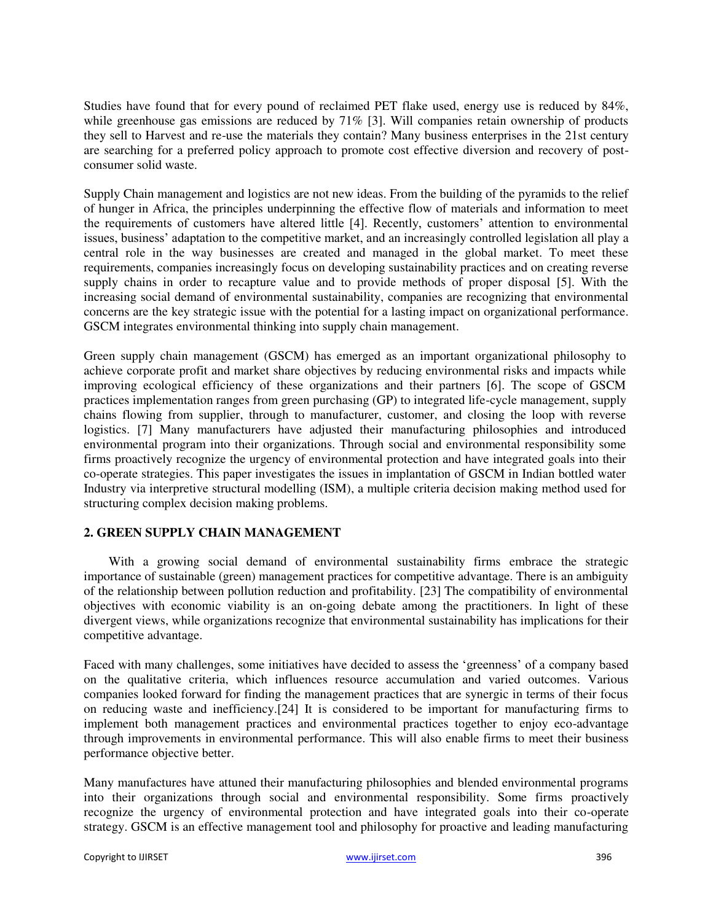Studies have found that for every pound of reclaimed PET flake used, energy use is reduced by 84%, while greenhouse gas emissions are reduced by 71% [3]. Will companies retain ownership of products they sell to Harvest and re-use the materials they contain? Many business enterprises in the 21st century are searching for a preferred policy approach to promote cost effective diversion and recovery of postconsumer solid waste.

Supply Chain management and logistics are not new ideas. From the building of the pyramids to the relief of hunger in Africa, the principles underpinning the effective flow of materials and information to meet the requirements of customers have altered little [4]. Recently, customers' attention to environmental issues, business' adaptation to the competitive market, and an increasingly controlled legislation all play a central role in the way businesses are created and managed in the global market. To meet these requirements, companies increasingly focus on developing sustainability practices and on creating reverse supply chains in order to recapture value and to provide methods of proper disposal [5]. With the increasing social demand of environmental sustainability, companies are recognizing that environmental concerns are the key strategic issue with the potential for a lasting impact on organizational performance. GSCM integrates environmental thinking into supply chain management.

Green supply chain management (GSCM) has emerged as an important organizational philosophy to achieve corporate profit and market share objectives by reducing environmental risks and impacts while improving ecological efficiency of these organizations and their partners [6]. The scope of GSCM practices implementation ranges from green purchasing (GP) to integrated life-cycle management, supply chains flowing from supplier, through to manufacturer, customer, and closing the loop with reverse logistics. [7] Many manufacturers have adjusted their manufacturing philosophies and introduced environmental program into their organizations. Through social and environmental responsibility some firms proactively recognize the urgency of environmental protection and have integrated goals into their co-operate strategies. This paper investigates the issues in implantation of GSCM in Indian bottled water Industry via interpretive structural modelling (ISM), a multiple criteria decision making method used for structuring complex decision making problems.

### **2. GREEN SUPPLY CHAIN MANAGEMENT**

With a growing social demand of environmental sustainability firms embrace the strategic importance of sustainable (green) management practices for competitive advantage. There is an ambiguity of the relationship between pollution reduction and profitability. [23] The compatibility of environmental objectives with economic viability is an on-going debate among the practitioners. In light of these divergent views, while organizations recognize that environmental sustainability has implications for their competitive advantage.

Faced with many challenges, some initiatives have decided to assess the 'greenness' of a company based on the qualitative criteria, which influences resource accumulation and varied outcomes. Various companies looked forward for finding the management practices that are synergic in terms of their focus on reducing waste and inefficiency.[24] It is considered to be important for manufacturing firms to implement both management practices and environmental practices together to enjoy eco-advantage through improvements in environmental performance. This will also enable firms to meet their business performance objective better.

Many manufactures have attuned their manufacturing philosophies and blended environmental programs into their organizations through social and environmental responsibility. Some firms proactively recognize the urgency of environmental protection and have integrated goals into their co-operate strategy. GSCM is an effective management tool and philosophy for proactive and leading manufacturing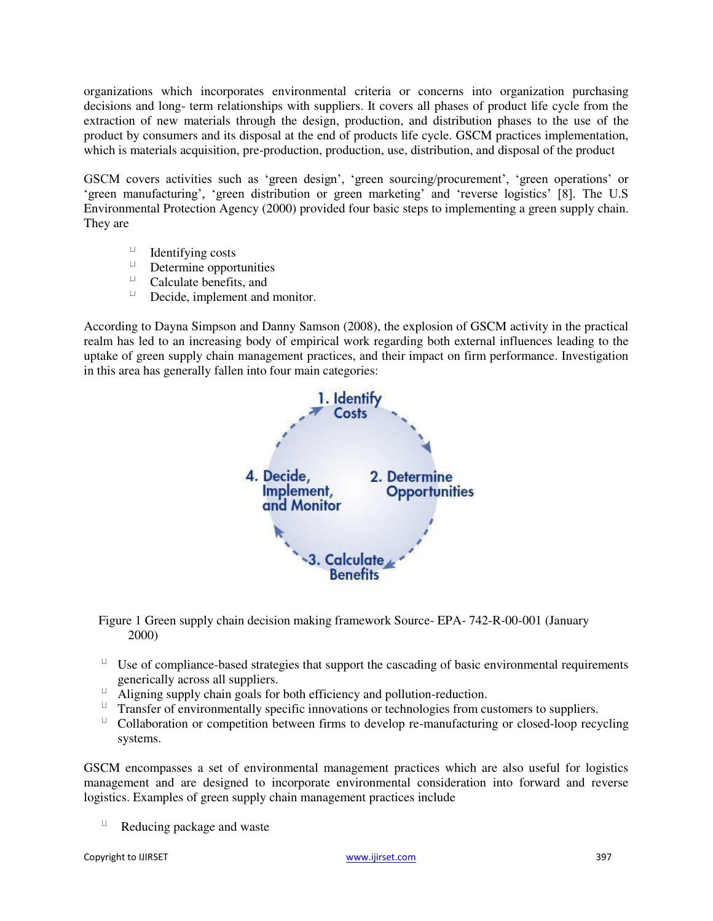organizations which incorporates environmental criteria or concerns into organization purchasing decisions and long- term relationships with suppliers. It covers all phases of product life cycle from the extraction of new materials through the design, production, and distribution phases to the use of the product by consumers and its disposal at the end of products life cycle. GSCM practices implementation, which is materials acquisition, pre-production, production, use, distribution, and disposal of the product

GSCM covers activities such as 'green design', 'green sourcing/procurement', 'green operations' or 'green manufacturing', 'green distribution or green marketing' and 'reverse logistics' [8]. The U.S Environmental Protection Agency (2000) provided four basic steps to implementing a green supply chain. They are

- $\Box$ Identifying costs
- $\sqcup$ Determine opportunities
- $\sqcup$  . Calculate benefits, and
- $\sqcup$ Decide, implement and monitor.

According to Dayna Simpson and Danny Samson (2008), the explosion of GSCM activity in the practical realm has led to an increasing body of empirical work regarding both external influences leading to the uptake of green supply chain management practices, and their impact on firm performance. Investigation in this area has generally fallen into four main categories:



Figure 1 Green supply chain decision making framework Source- EPA- 742-R-00-001 (January 2000)

- $U$  Use of compliance-based strategies that support the cascading of basic environmental requirements generically across all suppliers.
- $\Box$  Aligning supply chain goals for both efficiency and pollution-reduction.
- $\overline{a}$  Transfer of environmentally specific innovations or technologies from customers to suppliers.
- $\sqcup$ Collaboration or competition between firms to develop re-manufacturing or closed-loop recycling systems.

GSCM encompasses a set of environmental management practices which are also useful for logistics management and are designed to incorporate environmental consideration into forward and reverse logistics. Examples of green supply chain management practices include

Reducing package and waste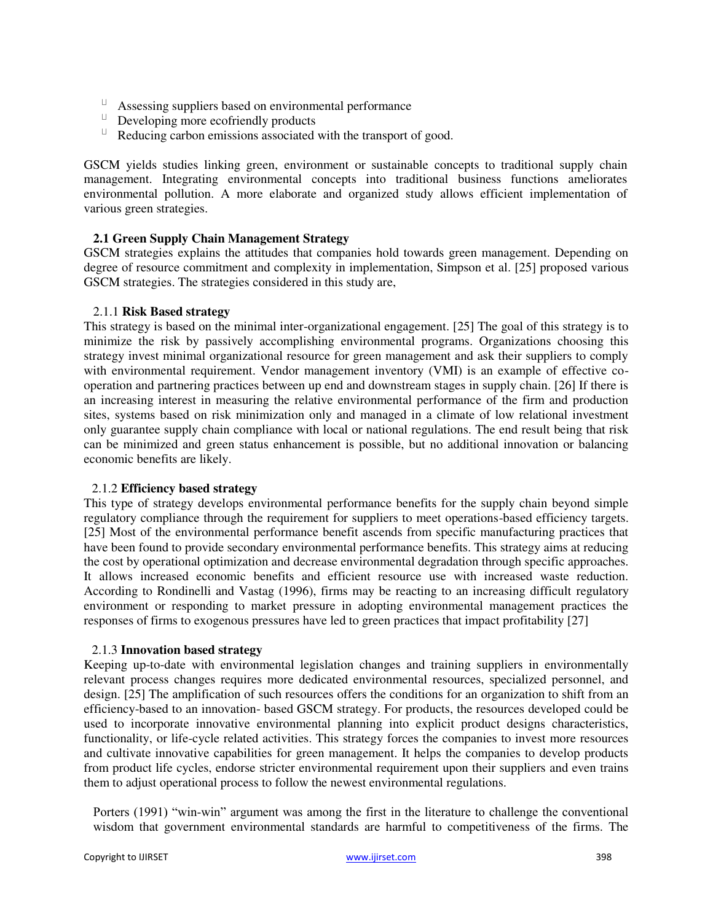- $\Box$  Assessing suppliers based on environmental performance
- $\Box$  Developing more ecofriendly products
- $\Box$  Reducing carbon emissions associated with the transport of good.

GSCM yields studies linking green, environment or sustainable concepts to traditional supply chain management. Integrating environmental concepts into traditional business functions ameliorates environmental pollution. A more elaborate and organized study allows efficient implementation of various green strategies.

# **2.1 Green Supply Chain Management Strategy**

GSCM strategies explains the attitudes that companies hold towards green management. Depending on degree of resource commitment and complexity in implementation, Simpson et al. [25] proposed various GSCM strategies. The strategies considered in this study are,

#### 2.1.1 **Risk Based strategy**

This strategy is based on the minimal inter-organizational engagement. [25] The goal of this strategy is to minimize the risk by passively accomplishing environmental programs. Organizations choosing this strategy invest minimal organizational resource for green management and ask their suppliers to comply with environmental requirement. Vendor management inventory (VMI) is an example of effective cooperation and partnering practices between up end and downstream stages in supply chain. [26] If there is an increasing interest in measuring the relative environmental performance of the firm and production sites, systems based on risk minimization only and managed in a climate of low relational investment only guarantee supply chain compliance with local or national regulations. The end result being that risk can be minimized and green status enhancement is possible, but no additional innovation or balancing economic benefits are likely.

#### 2.1.2 **Efficiency based strategy**

This type of strategy develops environmental performance benefits for the supply chain beyond simple regulatory compliance through the requirement for suppliers to meet operations-based efficiency targets. [25] Most of the environmental performance benefit ascends from specific manufacturing practices that have been found to provide secondary environmental performance benefits. This strategy aims at reducing the cost by operational optimization and decrease environmental degradation through specific approaches. It allows increased economic benefits and efficient resource use with increased waste reduction. According to Rondinelli and Vastag (1996), firms may be reacting to an increasing difficult regulatory environment or responding to market pressure in adopting environmental management practices the responses of firms to exogenous pressures have led to green practices that impact profitability [27]

#### 2.1.3 **Innovation based strategy**

Keeping up-to-date with environmental legislation changes and training suppliers in environmentally relevant process changes requires more dedicated environmental resources, specialized personnel, and design. [25] The amplification of such resources offers the conditions for an organization to shift from an efficiency-based to an innovation- based GSCM strategy. For products, the resources developed could be used to incorporate innovative environmental planning into explicit product designs characteristics, functionality, or life-cycle related activities. This strategy forces the companies to invest more resources and cultivate innovative capabilities for green management. It helps the companies to develop products from product life cycles, endorse stricter environmental requirement upon their suppliers and even trains them to adjust operational process to follow the newest environmental regulations.

Porters (1991) "win-win" argument was among the first in the literature to challenge the conventional wisdom that government environmental standards are harmful to competitiveness of the firms. The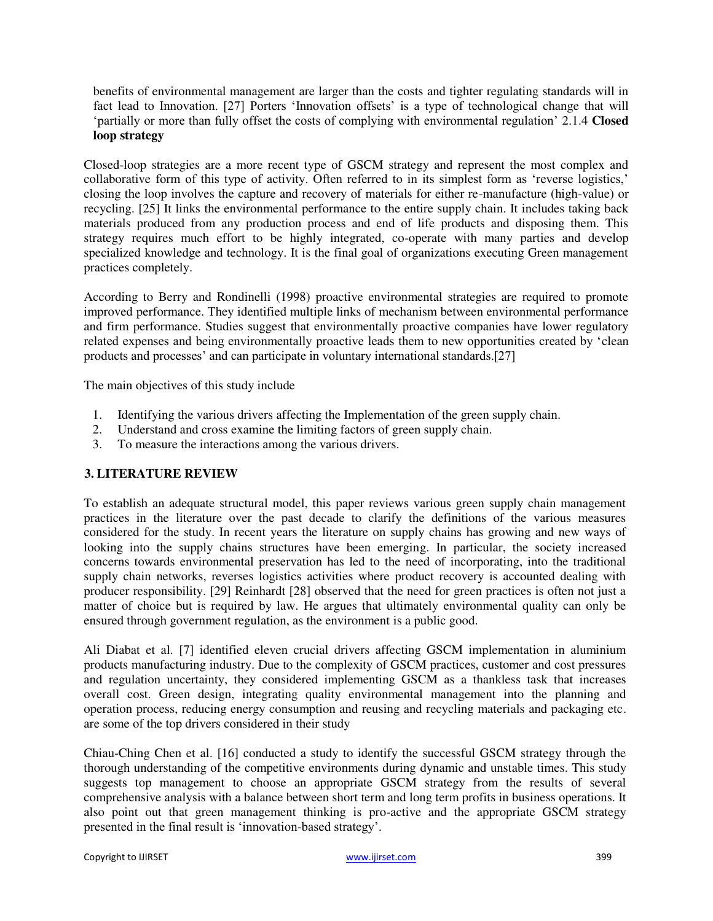benefits of environmental management are larger than the costs and tighter regulating standards will in fact lead to Innovation. [27] Porters 'Innovation offsets' is a type of technological change that will 'partially or more than fully offset the costs of complying with environmental regulation' 2.1.4 **Closed loop strategy**

Closed-loop strategies are a more recent type of GSCM strategy and represent the most complex and collaborative form of this type of activity. Often referred to in its simplest form as 'reverse logistics,' closing the loop involves the capture and recovery of materials for either re-manufacture (high-value) or recycling. [25] It links the environmental performance to the entire supply chain. It includes taking back materials produced from any production process and end of life products and disposing them. This strategy requires much effort to be highly integrated, co-operate with many parties and develop specialized knowledge and technology. It is the final goal of organizations executing Green management practices completely.

According to Berry and Rondinelli (1998) proactive environmental strategies are required to promote improved performance. They identified multiple links of mechanism between environmental performance and firm performance. Studies suggest that environmentally proactive companies have lower regulatory related expenses and being environmentally proactive leads them to new opportunities created by 'clean products and processes' and can participate in voluntary international standards.[27]

The main objectives of this study include

- 1. Identifying the various drivers affecting the Implementation of the green supply chain.
- 2. Understand and cross examine the limiting factors of green supply chain.
- 3. To measure the interactions among the various drivers.

# **3. LITERATURE REVIEW**

To establish an adequate structural model, this paper reviews various green supply chain management practices in the literature over the past decade to clarify the definitions of the various measures considered for the study. In recent years the literature on supply chains has growing and new ways of looking into the supply chains structures have been emerging. In particular, the society increased concerns towards environmental preservation has led to the need of incorporating, into the traditional supply chain networks, reverses logistics activities where product recovery is accounted dealing with producer responsibility. [29] Reinhardt [28] observed that the need for green practices is often not just a matter of choice but is required by law. He argues that ultimately environmental quality can only be ensured through government regulation, as the environment is a public good.

Ali Diabat et al. [7] identified eleven crucial drivers affecting GSCM implementation in aluminium products manufacturing industry. Due to the complexity of GSCM practices, customer and cost pressures and regulation uncertainty, they considered implementing GSCM as a thankless task that increases overall cost. Green design, integrating quality environmental management into the planning and operation process, reducing energy consumption and reusing and recycling materials and packaging etc. are some of the top drivers considered in their study

Chiau-Ching Chen et al. [16] conducted a study to identify the successful GSCM strategy through the thorough understanding of the competitive environments during dynamic and unstable times. This study suggests top management to choose an appropriate GSCM strategy from the results of several comprehensive analysis with a balance between short term and long term profits in business operations. It also point out that green management thinking is pro-active and the appropriate GSCM strategy presented in the final result is 'innovation-based strategy'.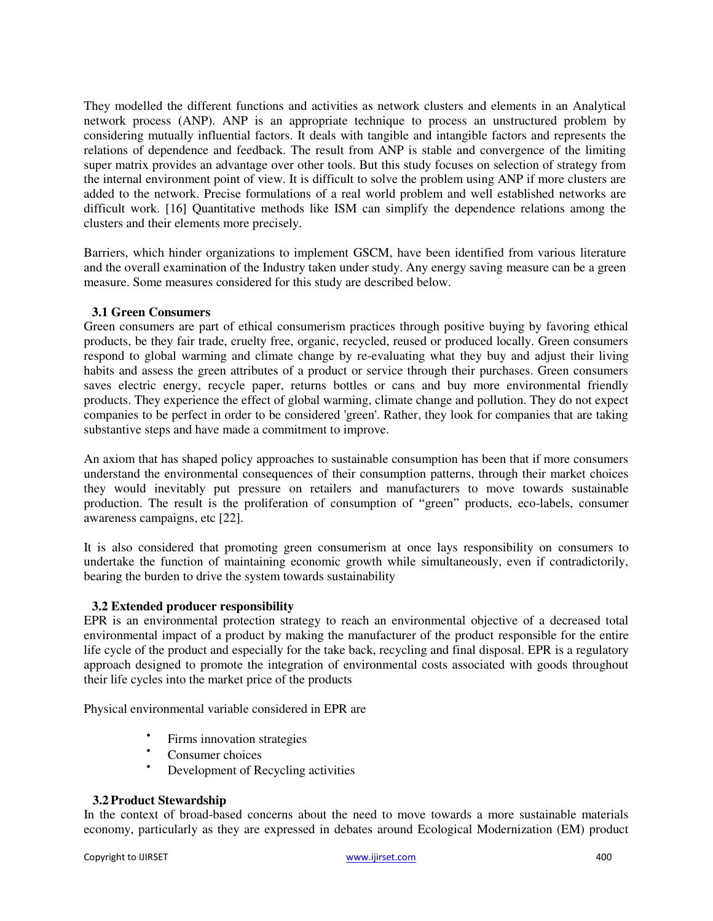They modelled the different functions and activities as network clusters and elements in an Analytical network process (ANP). ANP is an appropriate technique to process an unstructured problem by considering mutually influential factors. It deals with tangible and intangible factors and represents the relations of dependence and feedback. The result from ANP is stable and convergence of the limiting super matrix provides an advantage over other tools. But this study focuses on selection of strategy from the internal environment point of view. It is difficult to solve the problem using ANP if more clusters are added to the network. Precise formulations of a real world problem and well established networks are difficult work. [16] Quantitative methods like ISM can simplify the dependence relations among the clusters and their elements more precisely.

Barriers, which hinder organizations to implement GSCM, have been identified from various literature and the overall examination of the Industry taken under study. Any energy saving measure can be a green measure. Some measures considered for this study are described below.

#### **3.1 Green Consumers**

Green consumers are part of ethical consumerism practices through positive buying by favoring ethical products, be they fair trade, cruelty free, organic, recycled, reused or produced locally. Green consumers respond to global warming and climate change by re-evaluating what they buy and adjust their living habits and assess the green attributes of a product or service through their purchases. Green consumers saves electric energy, recycle paper, returns bottles or cans and buy more environmental friendly products. They experience the effect of global warming, climate change and pollution. They do not expect companies to be perfect in order to be considered 'green'. Rather, they look for companies that are taking substantive steps and have made a commitment to improve.

An axiom that has shaped policy approaches to sustainable consumption has been that if more consumers understand the environmental consequences of their consumption patterns, through their market choices they would inevitably put pressure on retailers and manufacturers to move towards sustainable production. The result is the proliferation of consumption of "green" products, eco-labels, consumer awareness campaigns, etc [22].

It is also considered that promoting green consumerism at once lays responsibility on consumers to undertake the function of maintaining economic growth while simultaneously, even if contradictorily, bearing the burden to drive the system towards sustainability

#### **3.2 Extended producer responsibility**

EPR is an environmental protection strategy to reach an environmental objective of a decreased total environmental impact of a product by making the manufacturer of the product responsible for the entire life cycle of the product and especially for the take back, recycling and final disposal. EPR is a regulatory approach designed to promote the integration of environmental costs associated with goods throughout their life cycles into the market price of the products

Physical environmental variable considered in EPR are

- $\bullet$ Firms innovation strategies
- Consumer choices<br>• Development of  $R$
- Development of Recycling activities

#### **3.2Product Stewardship**

In the context of broad-based concerns about the need to move towards a more sustainable materials economy, particularly as they are expressed in debates around Ecological Modernization (EM) product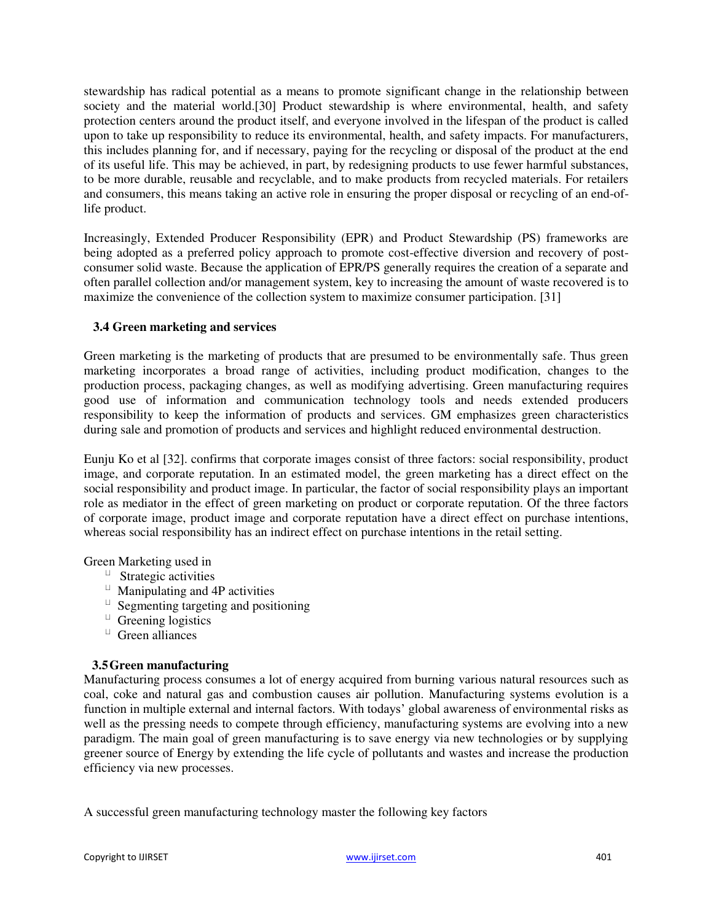stewardship has radical potential as a means to promote significant change in the relationship between society and the material world.<sup>[30]</sup> Product stewardship is where environmental, health, and safety protection centers around the product itself, and everyone involved in the lifespan of the product is called upon to take up responsibility to reduce its environmental, health, and safety impacts. For manufacturers, this includes planning for, and if necessary, paying for the recycling or disposal of the product at the end of its useful life. This may be achieved, in part, by redesigning products to use fewer harmful substances, to be more durable, reusable and recyclable, and to make products from recycled materials. For retailers and consumers, this means taking an active role in ensuring the proper disposal or recycling of an end-oflife product.

Increasingly, Extended Producer Responsibility (EPR) and Product Stewardship (PS) frameworks are being adopted as a preferred policy approach to promote cost-effective diversion and recovery of postconsumer solid waste. Because the application of EPR/PS generally requires the creation of a separate and often parallel collection and/or management system, key to increasing the amount of waste recovered is to maximize the convenience of the collection system to maximize consumer participation. [31]

# **3.4 Green marketing and services**

Green marketing is the marketing of products that are presumed to be environmentally safe. Thus green marketing incorporates a broad range of activities, including product modification, changes to the production process, packaging changes, as well as modifying advertising. Green manufacturing requires good use of information and communication technology tools and needs extended producers responsibility to keep the information of products and services. GM emphasizes green characteristics during sale and promotion of products and services and highlight reduced environmental destruction.

Eunju Ko et al [32]. confirms that corporate images consist of three factors: social responsibility, product image, and corporate reputation. In an estimated model, the green marketing has a direct effect on the social responsibility and product image. In particular, the factor of social responsibility plays an important role as mediator in the effect of green marketing on product or corporate reputation. Of the three factors of corporate image, product image and corporate reputation have a direct effect on purchase intentions, whereas social responsibility has an indirect effect on purchase intentions in the retail setting.

Green Marketing used in

- $\Box$  Strategic activities
- $\Box$  Manipulating and 4P activities
- $\overline{\phantom{a}}$  Segmenting targeting and positioning
- $\Box$  Greening logistics
- $\Box$  Green alliances

#### **3.5Green manufacturing**

Manufacturing process consumes a lot of energy acquired from burning various natural resources such as coal, coke and natural gas and combustion causes air pollution. Manufacturing systems evolution is a function in multiple external and internal factors. With todays' global awareness of environmental risks as well as the pressing needs to compete through efficiency, manufacturing systems are evolving into a new paradigm. The main goal of green manufacturing is to save energy via new technologies or by supplying greener source of Energy by extending the life cycle of pollutants and wastes and increase the production efficiency via new processes.

A successful green manufacturing technology master the following key factors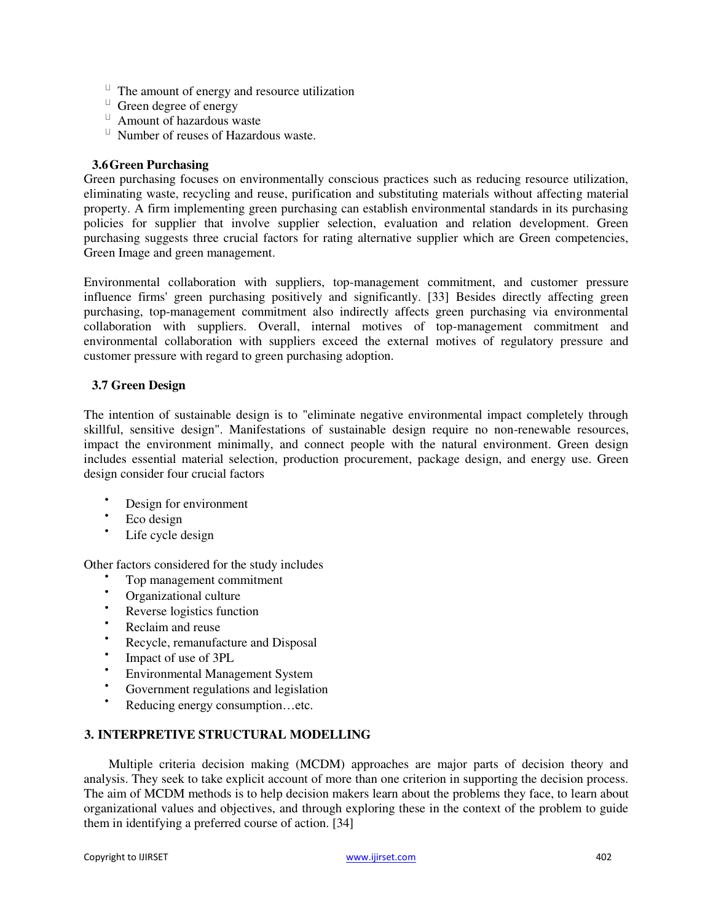- $\Box$  The amount of energy and resource utilization
- $\Box$  Green degree of energy
- Amount of hazardous waste
- $\Box$  Number of reuses of Hazardous waste.

#### **3.6Green Purchasing**

Green purchasing focuses on environmentally conscious practices such as reducing resource utilization, eliminating waste, recycling and reuse, purification and substituting materials without affecting material property. A firm implementing green purchasing can establish environmental standards in its purchasing policies for supplier that involve supplier selection, evaluation and relation development. Green purchasing suggests three crucial factors for rating alternative supplier which are Green competencies, Green Image and green management.

Environmental collaboration with suppliers, top-management commitment, and customer pressure influence firms' green purchasing positively and significantly. [33] Besides directly affecting green purchasing, top-management commitment also indirectly affects green purchasing via environmental collaboration with suppliers. Overall, internal motives of top-management commitment and environmental collaboration with suppliers exceed the external motives of regulatory pressure and customer pressure with regard to green purchasing adoption.

# **3.7 Green Design**

The intention of sustainable design is to "eliminate negative environmental impact completely through skillful, sensitive design". Manifestations of sustainable design require no non-renewable resources, impact the environment minimally, and connect people with the natural environment. Green design includes essential material selection, production procurement, package design, and energy use. Green design consider four crucial factors

- Design for environment
- Eco design
- Life cycle design

Other factors considered for the study includes

- Top management commitment
- **Confidential Contract Contract Contract Contract Contract Contract Contract Contract Contract Contract Contract Contract Contract Contract Contract Contract Contract Contract Contract Contract Contract Contract Contract C**
- Reverse logistics function
- Reclaim and reuse
- Recycle, remanufacture and Disposal
- $\bullet$ Impact of use of 3PL
- Environmental Management System<br>
Covernment regulations and logislatic
- Government regulations and legislation
- Reducing energy consumption…etc.

### **3. INTERPRETIVE STRUCTURAL MODELLING**

Multiple criteria decision making (MCDM) approaches are major parts of decision theory and analysis. They seek to take explicit account of more than one criterion in supporting the decision process. The aim of MCDM methods is to help decision makers learn about the problems they face, to learn about organizational values and objectives, and through exploring these in the context of the problem to guide them in identifying a preferred course of action. [34]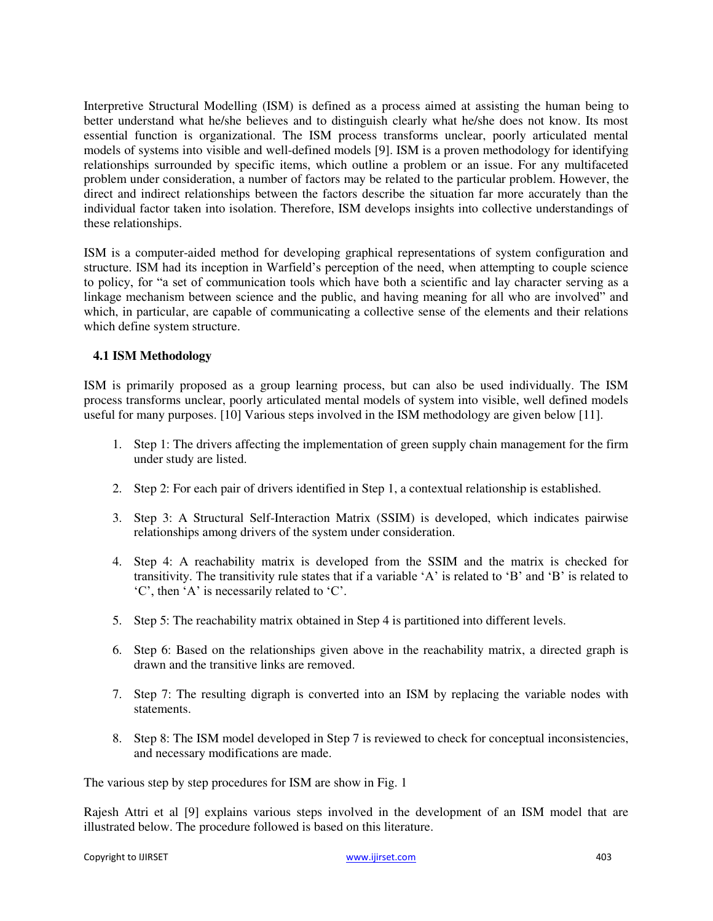Interpretive Structural Modelling (ISM) is defined as a process aimed at assisting the human being to better understand what he/she believes and to distinguish clearly what he/she does not know. Its most essential function is organizational. The ISM process transforms unclear, poorly articulated mental models of systems into visible and well-defined models [9]. ISM is a proven methodology for identifying relationships surrounded by specific items, which outline a problem or an issue. For any multifaceted problem under consideration, a number of factors may be related to the particular problem. However, the direct and indirect relationships between the factors describe the situation far more accurately than the individual factor taken into isolation. Therefore, ISM develops insights into collective understandings of these relationships.

ISM is a computer-aided method for developing graphical representations of system configuration and structure. ISM had its inception in Warfield's perception of the need, when attempting to couple science to policy, for "a set of communication tools which have both a scientific and lay character serving as a linkage mechanism between science and the public, and having meaning for all who are involved" and which, in particular, are capable of communicating a collective sense of the elements and their relations which define system structure.

#### **4.1 ISM Methodology**

ISM is primarily proposed as a group learning process, but can also be used individually. The ISM process transforms unclear, poorly articulated mental models of system into visible, well defined models useful for many purposes. [10] Various steps involved in the ISM methodology are given below [11].

- 1. Step 1: The drivers affecting the implementation of green supply chain management for the firm under study are listed.
- 2. Step 2: For each pair of drivers identified in Step 1, a contextual relationship is established.
- 3. Step 3: A Structural Self-Interaction Matrix (SSIM) is developed, which indicates pairwise relationships among drivers of the system under consideration.
- 4. Step 4: A reachability matrix is developed from the SSIM and the matrix is checked for transitivity. The transitivity rule states that if a variable 'A' is related to 'B' and 'B' is related to 'C', then 'A' is necessarily related to 'C'.
- 5. Step 5: The reachability matrix obtained in Step 4 is partitioned into different levels.
- 6. Step 6: Based on the relationships given above in the reachability matrix, a directed graph is drawn and the transitive links are removed.
- 7. Step 7: The resulting digraph is converted into an ISM by replacing the variable nodes with statements.
- 8. Step 8: The ISM model developed in Step 7 is reviewed to check for conceptual inconsistencies, and necessary modifications are made.

The various step by step procedures for ISM are show in Fig. 1

Rajesh Attri et al [9] explains various steps involved in the development of an ISM model that are illustrated below. The procedure followed is based on this literature.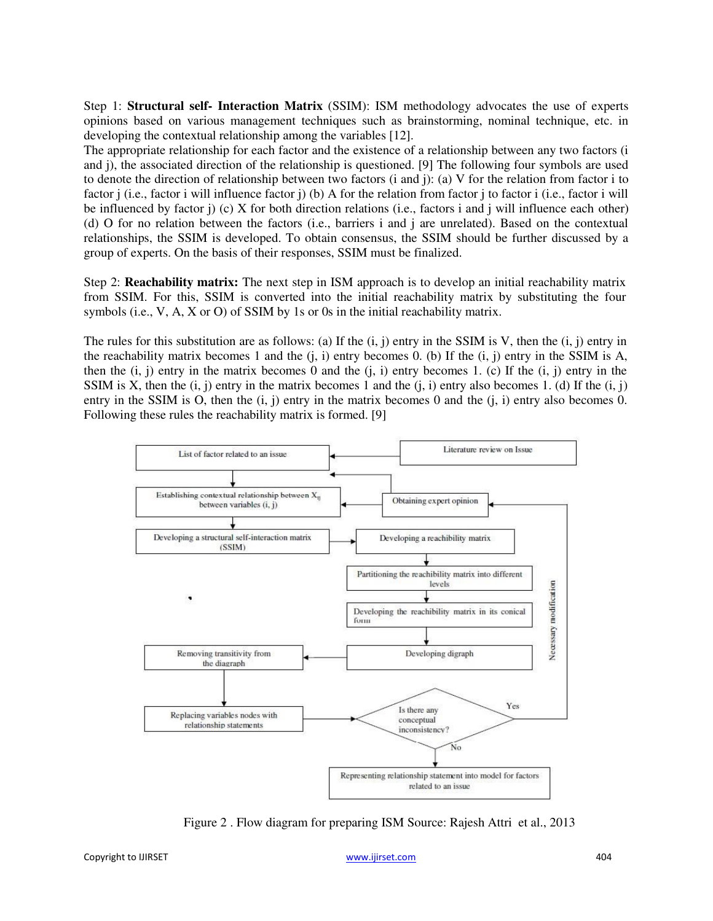Step 1: **Structural self- Interaction Matrix** (SSIM): ISM methodology advocates the use of experts opinions based on various management techniques such as brainstorming, nominal technique, etc. in developing the contextual relationship among the variables [12].

The appropriate relationship for each factor and the existence of a relationship between any two factors (i and j), the associated direction of the relationship is questioned. [9] The following four symbols are used to denote the direction of relationship between two factors (i and j): (a) V for the relation from factor i to factor j (i.e., factor i will influence factor j) (b) A for the relation from factor j to factor i (i.e., factor i will be influenced by factor j) (c) X for both direction relations (i.e., factors i and j will influence each other) (d) O for no relation between the factors (i.e., barriers i and j are unrelated). Based on the contextual relationships, the SSIM is developed. To obtain consensus, the SSIM should be further discussed by a group of experts. On the basis of their responses, SSIM must be finalized.

Step 2: **Reachability matrix:** The next step in ISM approach is to develop an initial reachability matrix from SSIM. For this, SSIM is converted into the initial reachability matrix by substituting the four symbols (i.e., V, A, X or O) of SSIM by 1s or 0s in the initial reachability matrix.

The rules for this substitution are as follows: (a) If the  $(i, j)$  entry in the SSIM is V, then the  $(i, j)$  entry in the reachability matrix becomes 1 and the  $(i, i)$  entry becomes 0. (b) If the  $(i, j)$  entry in the SSIM is A, then the  $(i, j)$  entry in the matrix becomes 0 and the  $(i, i)$  entry becomes 1. (c) If the  $(i, j)$  entry in the SSIM is X, then the  $(i, j)$  entry in the matrix becomes 1 and the  $(i, i)$  entry also becomes 1. (d) If the  $(i, j)$ entry in the SSIM is O, then the  $(i, j)$  entry in the matrix becomes 0 and the  $(i, i)$  entry also becomes 0. Following these rules the reachability matrix is formed. [9]



Figure 2 . Flow diagram for preparing ISM Source: Rajesh Attri et al., 2013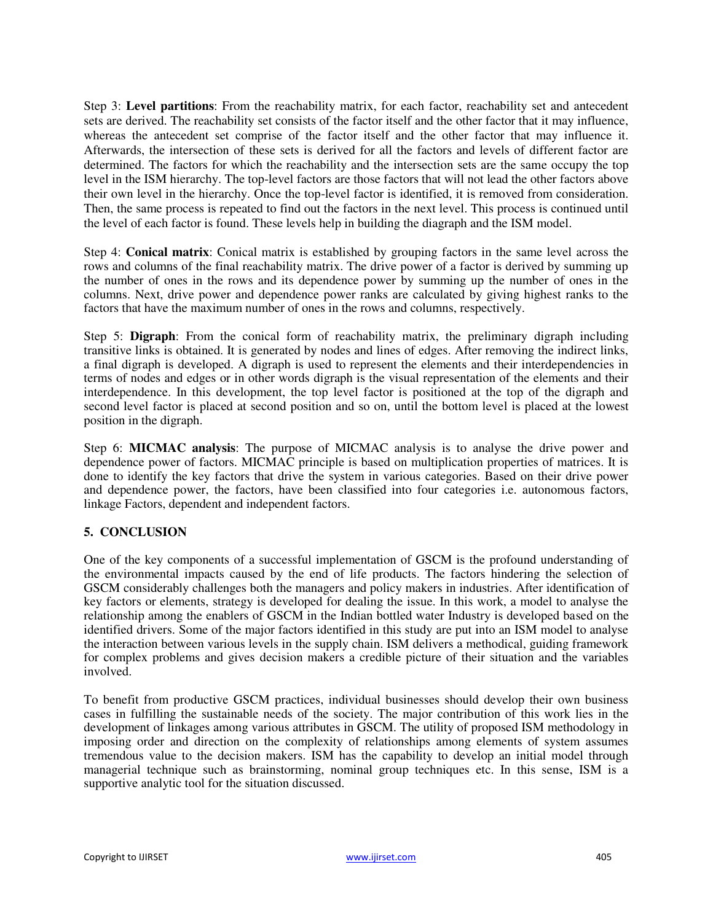Step 3: **Level partitions**: From the reachability matrix, for each factor, reachability set and antecedent sets are derived. The reachability set consists of the factor itself and the other factor that it may influence, whereas the antecedent set comprise of the factor itself and the other factor that may influence it. Afterwards, the intersection of these sets is derived for all the factors and levels of different factor are determined. The factors for which the reachability and the intersection sets are the same occupy the top level in the ISM hierarchy. The top-level factors are those factors that will not lead the other factors above their own level in the hierarchy. Once the top-level factor is identified, it is removed from consideration. Then, the same process is repeated to find out the factors in the next level. This process is continued until the level of each factor is found. These levels help in building the diagraph and the ISM model.

Step 4: **Conical matrix**: Conical matrix is established by grouping factors in the same level across the rows and columns of the final reachability matrix. The drive power of a factor is derived by summing up the number of ones in the rows and its dependence power by summing up the number of ones in the columns. Next, drive power and dependence power ranks are calculated by giving highest ranks to the factors that have the maximum number of ones in the rows and columns, respectively.

Step 5: **Digraph**: From the conical form of reachability matrix, the preliminary digraph including transitive links is obtained. It is generated by nodes and lines of edges. After removing the indirect links, a final digraph is developed. A digraph is used to represent the elements and their interdependencies in terms of nodes and edges or in other words digraph is the visual representation of the elements and their interdependence. In this development, the top level factor is positioned at the top of the digraph and second level factor is placed at second position and so on, until the bottom level is placed at the lowest position in the digraph.

Step 6: **MICMAC analysis**: The purpose of MICMAC analysis is to analyse the drive power and dependence power of factors. MICMAC principle is based on multiplication properties of matrices. It is done to identify the key factors that drive the system in various categories. Based on their drive power and dependence power, the factors, have been classified into four categories i.e. autonomous factors, linkage Factors, dependent and independent factors.

# **5. CONCLUSION**

One of the key components of a successful implementation of GSCM is the profound understanding of the environmental impacts caused by the end of life products. The factors hindering the selection of GSCM considerably challenges both the managers and policy makers in industries. After identification of key factors or elements, strategy is developed for dealing the issue. In this work, a model to analyse the relationship among the enablers of GSCM in the Indian bottled water Industry is developed based on the identified drivers. Some of the major factors identified in this study are put into an ISM model to analyse the interaction between various levels in the supply chain. ISM delivers a methodical, guiding framework for complex problems and gives decision makers a credible picture of their situation and the variables involved.

To benefit from productive GSCM practices, individual businesses should develop their own business cases in fulfilling the sustainable needs of the society. The major contribution of this work lies in the development of linkages among various attributes in GSCM. The utility of proposed ISM methodology in imposing order and direction on the complexity of relationships among elements of system assumes tremendous value to the decision makers. ISM has the capability to develop an initial model through managerial technique such as brainstorming, nominal group techniques etc. In this sense, ISM is a supportive analytic tool for the situation discussed.